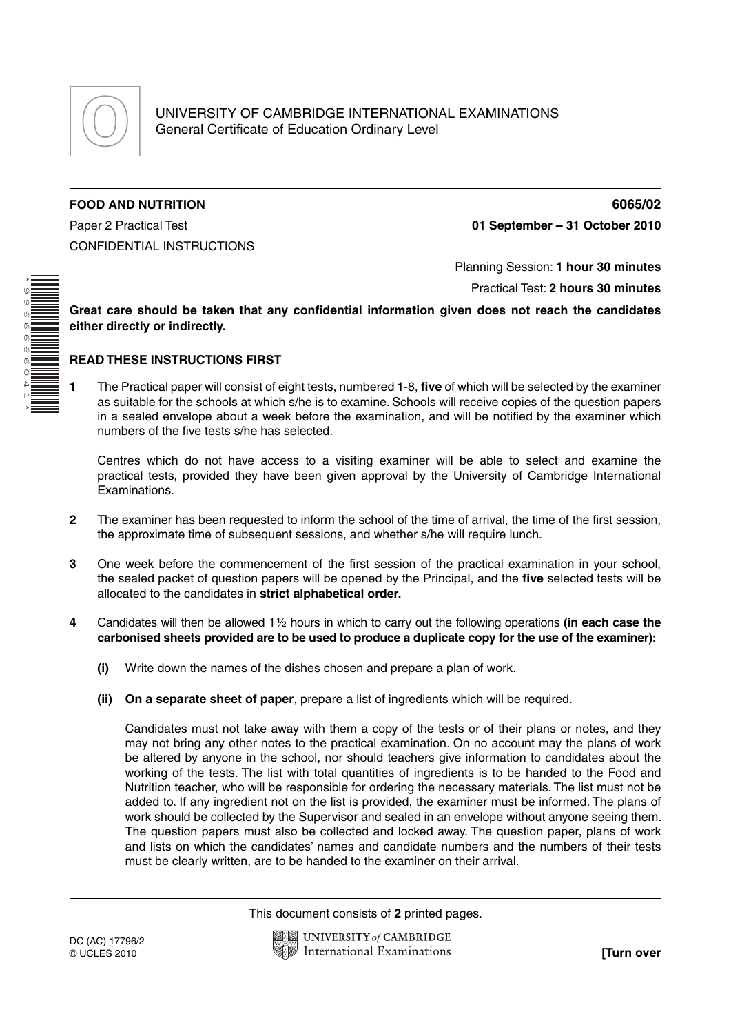

## **FOOD AND NUTRITION 6065/02**

CONFIDENTIAL INSTRUCTIONS

Paper 2 Practical Test **01 September – 31 October 2010**

\* 99666660 41\*

## Planning Session: **1 hour 30 minutes**

Practical Test: **2 hours 30 minutes**

**Great care should be taken that any confidential information given does not reach the candidates either directly or indirectly.**

## **READ THESE INSTRUCTIONS FIRST**

**1** The Practical paper will consist of eight tests, numbered 1-8, **five** of which will be selected by the examiner as suitable for the schools at which s/he is to examine. Schools will receive copies of the question papers in a sealed envelope about a week before the examination, and will be notified by the examiner which numbers of the five tests s/he has selected.

Centres which do not have access to a visiting examiner will be able to select and examine the practical tests, provided they have been given approval by the University of Cambridge International Examinations.

- **2** The examiner has been requested to inform the school of the time of arrival, the time of the first session, the approximate time of subsequent sessions, and whether s/he will require lunch.
- **3** One week before the commencement of the first session of the practical examination in your school, the sealed packet of question papers will be opened by the Principal, and the **five** selected tests will be allocated to the candidates in **strict alphabetical order.**
- **4** Candidates will then be allowed 1 ½ hours in which to carry out the following operations **(in each case the carbonised sheets provided are to be used to produce a duplicate copy for the use of the examiner):**
	- **(i)** Write down the names of the dishes chosen and prepare a plan of work.
	- **(ii) On a separate sheet of paper**, prepare a list of ingredients which will be required.

 Candidates must not take away with them a copy of the tests or of their plans or notes, and they may not bring any other notes to the practical examination. On no account may the plans of work be altered by anyone in the school, nor should teachers give information to candidates about the working of the tests. The list with total quantities of ingredients is to be handed to the Food and Nutrition teacher, who will be responsible for ordering the necessary materials. The list must not be added to. If any ingredient not on the list is provided, the examiner must be informed. The plans of work should be collected by the Supervisor and sealed in an envelope without anyone seeing them. The question papers must also be collected and locked away. The question paper, plans of work and lists on which the candidates' names and candidate numbers and the numbers of their tests must be clearly written, are to be handed to the examiner on their arrival.

This document consists of **2** printed pages.